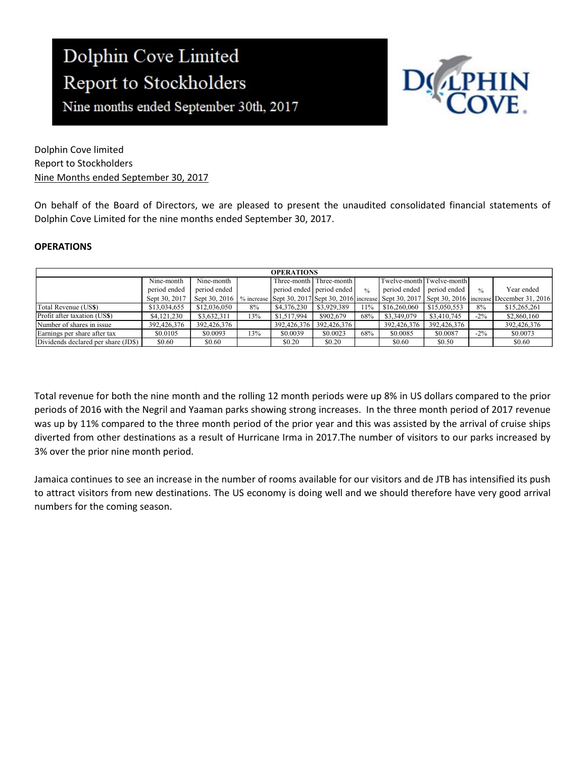Nine months ended September 30th, 2017



Dolphin Cove limited Report to Stockholders Nine Months ended September 30, 2017

On behalf of the Board of Directors, we are pleased to present the unaudited consolidated financial statements of Dolphin Cove Limited for the nine months ended September 30, 2017.

### **OPERATIONS**

| <b>OPERATIONS</b>                   |               |              |     |             |                           |               |                           |              |        |                                                                                                                        |
|-------------------------------------|---------------|--------------|-----|-------------|---------------------------|---------------|---------------------------|--------------|--------|------------------------------------------------------------------------------------------------------------------------|
|                                     | Nine-month    | Nine-month   |     |             | Three-month Three-month   |               | Twelve-month Twelve-month |              |        |                                                                                                                        |
|                                     | period ended  | period ended |     |             | period ended period ended | $\frac{0}{0}$ | period ended 1            | period ended | 0/2    | Year ended                                                                                                             |
|                                     | Sept 30, 2017 |              |     |             |                           |               |                           |              |        | Sept 30, 2016   % increase Sept 30, 2017 Sept 30, 2016 increase Sept 30, 2017 Sept 30, 2016 increase December 31, 2016 |
| Total Revenue (US\$)                | \$13,034,655  | \$12,036,050 | 8%  | \$4,376,230 | \$3,929,389               | 11%           | \$16,260,060              | \$15,050,553 | 8%     | \$15,265,261                                                                                                           |
| Profit after taxation (USS)         | \$4,121,230   | \$3,632,311  | 13% | \$1,517,994 | \$902,679                 | 68%           | \$3,349,079               | \$3,410,745  | $-2\%$ | \$2,860,160                                                                                                            |
| Number of shares in issue           | 392,426,376   | 392,426,376  |     | 392,426,376 | 392,426,376               |               | 392,426,376               | 392,426,376  |        | 392,426,376                                                                                                            |
| Earnings per share after tax        | \$0.0105      | \$0.0093     | 13% | \$0.0039    | \$0.0023                  | 68%           | \$0.0085                  | \$0.0087     | $-2\%$ | \$0.0073                                                                                                               |
| Dividends declared per share (JD\$) | \$0.60        | \$0.60       |     | \$0.20      | \$0.20                    |               | \$0.60                    | \$0.50       |        | \$0.60                                                                                                                 |

Total revenue for both the nine month and the rolling 12 month periods were up 8% in US dollars compared to the prior periods of 2016 with the Negril and Yaaman parks showing strong increases. In the three month period of 2017 revenue was up by 11% compared to the three month period of the prior year and this was assisted by the arrival of cruise ships diverted from other destinations as a result of Hurricane Irma in 2017.The number of visitors to our parks increased by 3% over the prior nine month period.

Jamaica continues to see an increase in the number of rooms available for our visitors and de JTB has intensified its push to attract visitors from new destinations. The US economy is doing well and we should therefore have very good arrival numbers for the coming season.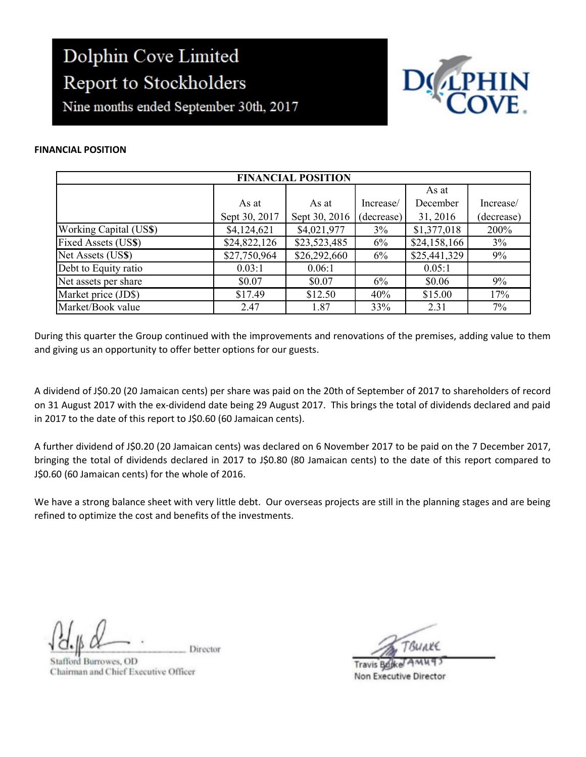Nine months ended September 30th, 2017



#### FINANCIAL POSITION

| <b>FINANCIAL POSITION</b> |               |               |            |              |            |  |  |
|---------------------------|---------------|---------------|------------|--------------|------------|--|--|
|                           |               |               |            | As at        |            |  |  |
|                           | As at         | As at         | Increase/  | December     | Increase/  |  |  |
|                           | Sept 30, 2017 | Sept 30, 2016 | (decrease) | 31, 2016     | (decrease) |  |  |
| Working Capital (US\$)    | \$4,124,621   | \$4,021,977   | 3%         | \$1,377,018  | 200%       |  |  |
| Fixed Assets (US\$)       | \$24,822,126  | \$23,523,485  | 6%         | \$24,158,166 | 3%         |  |  |
| Net Assets (US\$)         | \$27,750,964  | \$26,292,660  | 6%         | \$25,441,329 | 9%         |  |  |
| Debt to Equity ratio      | 0.03:1        | 0.06:1        |            | 0.05:1       |            |  |  |
| Net assets per share      | \$0.07        | \$0.07        | 6%         | \$0.06       | 9%         |  |  |
| Market price (JD\$)       | \$17.49       | \$12.50       | 40%        | \$15.00      | 17%        |  |  |
| Market/Book value         | 2.47          | 1.87          | 33%        | 2.31         | 7%         |  |  |

During this quarter the Group continued with the improvements and renovations of the premises, adding value to them and giving us an opportunity to offer better options for our guests.

A dividend of J\$0.20 (20 Jamaican cents) per share was paid on the 20th of September of 2017 to shareholders of record on 31 August 2017 with the ex-dividend date being 29 August 2017. This brings the total of dividends declared and paid in 2017 to the date of this report to J\$0.60 (60 Jamaican cents).

A further dividend of J\$0.20 (20 Jamaican cents) was declared on 6 November 2017 to be paid on the 7 December 2017, bringing the total of dividends declared in 2017 to J\$0.80 (80 Jamaican cents) to the date of this report compared to J\$0.60 (60 Jamaican cents) for the whole of 2016.

We have a strong balance sheet with very little debt. Our overseas projects are still in the planning stages and are being refined to optimize the cost and benefits of the investments.

Director

tafford Burrowes, OD Chairman and Chief Executive Officer

**Travis Bucket** Non Executive Director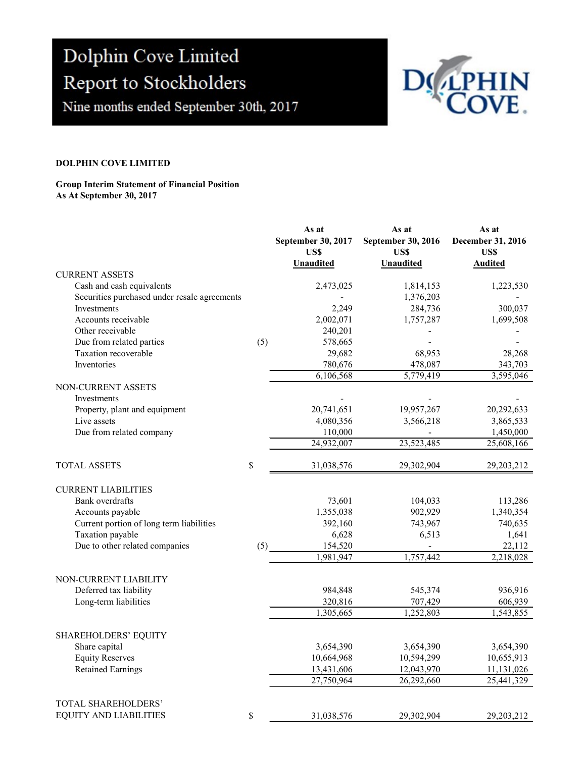Nine months ended September 30th, 2017



#### DOLPHIN COVE LIMITED

#### Group Interim Statement of Financial Position As At September 30, 2017

|                                              |     | As at<br>September 30, 2017<br>US\$<br><b>Unaudited</b> | As at<br>September 30, 2016<br>US\$<br><b>Unaudited</b> | As at<br>December 31, 2016<br>US\$<br><b>Audited</b> |
|----------------------------------------------|-----|---------------------------------------------------------|---------------------------------------------------------|------------------------------------------------------|
| <b>CURRENT ASSETS</b>                        |     |                                                         |                                                         |                                                      |
| Cash and cash equivalents                    |     | 2,473,025                                               | 1,814,153                                               | 1,223,530                                            |
| Securities purchased under resale agreements |     |                                                         | 1,376,203                                               |                                                      |
| Investments                                  |     | 2,249                                                   | 284,736                                                 | 300,037                                              |
| Accounts receivable                          |     | 2,002,071                                               | 1,757,287                                               | 1,699,508                                            |
| Other receivable                             |     | 240,201                                                 |                                                         |                                                      |
| Due from related parties                     | (5) | 578,665                                                 |                                                         |                                                      |
| Taxation recoverable                         |     | 29,682                                                  | 68,953                                                  | 28,268                                               |
| Inventories                                  |     | 780,676                                                 | 478,087                                                 | 343,703                                              |
|                                              |     | 6,106,568                                               | 5,779,419                                               | 3,595,046                                            |
| NON-CURRENT ASSETS<br>Investments            |     |                                                         |                                                         |                                                      |
| Property, plant and equipment                |     | 20,741,651                                              | 19,957,267                                              | 20,292,633                                           |
| Live assets                                  |     | 4,080,356                                               | 3,566,218                                               | 3,865,533                                            |
| Due from related company                     |     | 110,000                                                 |                                                         | 1,450,000                                            |
|                                              |     | 24,932,007                                              | 23,523,485                                              | 25,608,166                                           |
| <b>TOTAL ASSETS</b>                          | \$  | 31,038,576                                              | 29,302,904                                              | 29,203,212                                           |
| <b>CURRENT LIABILITIES</b>                   |     |                                                         |                                                         |                                                      |
| Bank overdrafts                              |     | 73,601                                                  | 104,033                                                 | 113,286                                              |
| Accounts payable                             |     | 1,355,038                                               | 902,929                                                 | 1,340,354                                            |
| Current portion of long term liabilities     |     | 392,160                                                 | 743,967                                                 | 740,635                                              |
| Taxation payable                             |     | 6,628                                                   | 6,513                                                   | 1,641                                                |
| Due to other related companies               | (5) | 154,520                                                 | $\blacksquare$                                          | 22,112                                               |
|                                              |     | 1,981,947                                               | 1,757,442                                               | 2,218,028                                            |
| NON-CURRENT LIABILITY                        |     |                                                         |                                                         |                                                      |
| Deferred tax liability                       |     | 984,848                                                 | 545,374                                                 | 936,916                                              |
| Long-term liabilities                        |     | 320,816                                                 | 707,429                                                 | 606,939                                              |
|                                              |     | 1,305,665                                               | 1,252,803                                               | 1,543,855                                            |
| SHAREHOLDERS' EQUITY                         |     |                                                         |                                                         |                                                      |
| Share capital                                |     | 3,654,390                                               | 3,654,390                                               | 3,654,390                                            |
| <b>Equity Reserves</b>                       |     | 10,664,968                                              | 10,594,299                                              | 10,655,913                                           |
| <b>Retained Earnings</b>                     |     | 13,431,606                                              | 12,043,970                                              | 11,131,026                                           |
|                                              |     | 27,750,964                                              | 26,292,660                                              | 25,441,329                                           |
| TOTAL SHAREHOLDERS'                          |     |                                                         |                                                         |                                                      |
| EQUITY AND LIABILITIES                       | \$  | 31,038,576                                              | 29,302,904                                              | 29,203,212                                           |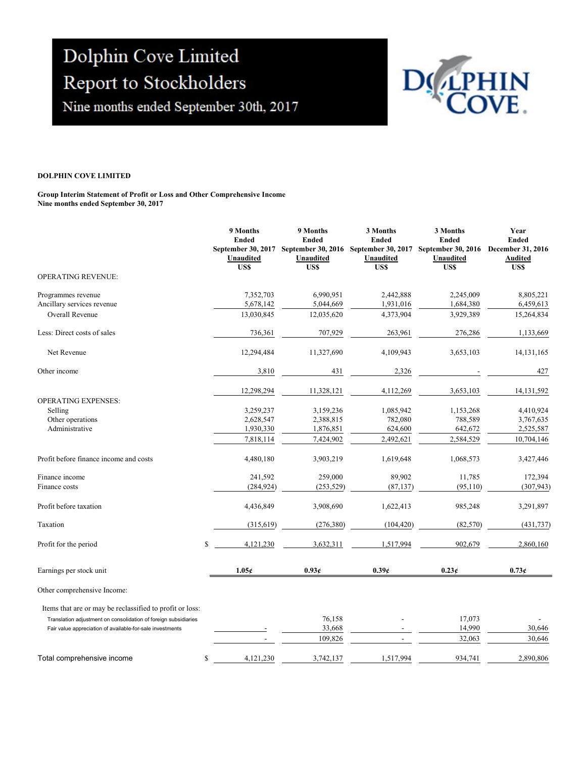Nine months ended September 30th, 2017



#### DOLPHIN COVE LIMITED

#### Group Interim Statement of Profit or Loss and Other Comprehensive Income Nine months ended September 30, 2017

|                                                                 | 9 Months<br><b>Ended</b><br>September 30, 2017<br>Unaudited<br>US\$ | 9 Months<br><b>Ended</b><br>September 30, 2016<br>Unaudited<br><b>USS</b> | 3 Months<br><b>Ended</b><br>September 30, 2017<br>Unaudited<br>US\$ | 3 Months<br><b>Ended</b><br><b>September 30, 2016</b><br>Unaudited<br>US\$ | Year<br><b>Ended</b><br>December 31, 2016<br><b>Audited</b><br>US\$ |
|-----------------------------------------------------------------|---------------------------------------------------------------------|---------------------------------------------------------------------------|---------------------------------------------------------------------|----------------------------------------------------------------------------|---------------------------------------------------------------------|
| <b>OPERATING REVENUE:</b>                                       |                                                                     |                                                                           |                                                                     |                                                                            |                                                                     |
| Programmes revenue                                              | 7,352,703                                                           | 6,990,951                                                                 | 2,442,888                                                           | 2,245,009                                                                  | 8,805,221                                                           |
| Ancillary services revenue                                      | 5,678,142                                                           | 5,044,669                                                                 | 1,931,016                                                           | 1,684,380                                                                  | 6,459,613                                                           |
| <b>Overall Revenue</b>                                          | 13,030,845                                                          | 12,035,620                                                                | 4,373,904                                                           | 3,929,389                                                                  | 15,264,834                                                          |
| Less: Direct costs of sales                                     | 736,361                                                             | 707,929                                                                   | 263,961                                                             | 276,286                                                                    | 1,133,669                                                           |
| Net Revenue                                                     | 12,294,484                                                          | 11,327,690                                                                | 4,109,943                                                           | 3,653,103                                                                  | 14, 131, 165                                                        |
| Other income                                                    | 3,810                                                               | 431                                                                       | 2,326                                                               |                                                                            | 427                                                                 |
|                                                                 | 12,298,294                                                          | 11,328,121                                                                | 4,112,269                                                           | 3,653,103                                                                  | 14, 131, 592                                                        |
| <b>OPERATING EXPENSES:</b>                                      |                                                                     |                                                                           |                                                                     |                                                                            |                                                                     |
| Selling                                                         | 3,259,237                                                           | 3,159,236                                                                 | 1,085,942                                                           | 1,153,268                                                                  | 4,410,924                                                           |
| Other operations                                                | 2,628,547                                                           | 2,388,815                                                                 | 782,080                                                             | 788,589                                                                    | 3,767,635                                                           |
| Administrative                                                  | 1,930,330                                                           | 1,876,851                                                                 | 624,600                                                             | 642,672                                                                    | 2,525,587                                                           |
|                                                                 | 7,818,114                                                           | 7,424,902                                                                 | 2,492,621                                                           | 2,584,529                                                                  | 10,704,146                                                          |
| Profit before finance income and costs                          | 4,480,180                                                           | 3,903,219                                                                 | 1,619,648                                                           | 1,068,573                                                                  | 3,427,446                                                           |
| Finance income                                                  | 241,592                                                             | 259,000                                                                   | 89,902                                                              | 11,785                                                                     | 172,394                                                             |
| Finance costs                                                   | (284, 924)                                                          | (253, 529)                                                                | (87, 137)                                                           | (95, 110)                                                                  | (307, 943)                                                          |
| Profit before taxation                                          | 4,436,849                                                           | 3,908,690                                                                 | 1,622,413                                                           | 985,248                                                                    | 3,291,897                                                           |
| Taxation                                                        | (315, 619)                                                          | (276, 380)                                                                | (104, 420)                                                          | (82, 570)                                                                  | (431, 737)                                                          |
| Profit for the period                                           | \$<br>4,121,230                                                     | 3,632,311                                                                 | 1.517.994                                                           | 902.679                                                                    | 2,860,160                                                           |
| Earnings per stock unit                                         | 1.05c                                                               | 0.93c                                                                     | 0.39c                                                               | 0.23c                                                                      | 0.73c                                                               |
| Other comprehensive Income:                                     |                                                                     |                                                                           |                                                                     |                                                                            |                                                                     |
| Items that are or may be reclassified to profit or loss:        |                                                                     |                                                                           |                                                                     |                                                                            |                                                                     |
| Translation adjustment on consolidation of foreign subsidiaries |                                                                     | 76,158                                                                    |                                                                     | 17,073                                                                     |                                                                     |
| Fair value appreciation of available-for-sale investments       |                                                                     | 33,668                                                                    |                                                                     | 14,990                                                                     | 30,646                                                              |
|                                                                 |                                                                     | 109,826                                                                   |                                                                     | 32,063                                                                     | 30.646                                                              |
| Total comprehensive income                                      | \$<br>4,121,230                                                     | 3,742,137                                                                 | 1,517,994                                                           | 934,741                                                                    | 2.890.806                                                           |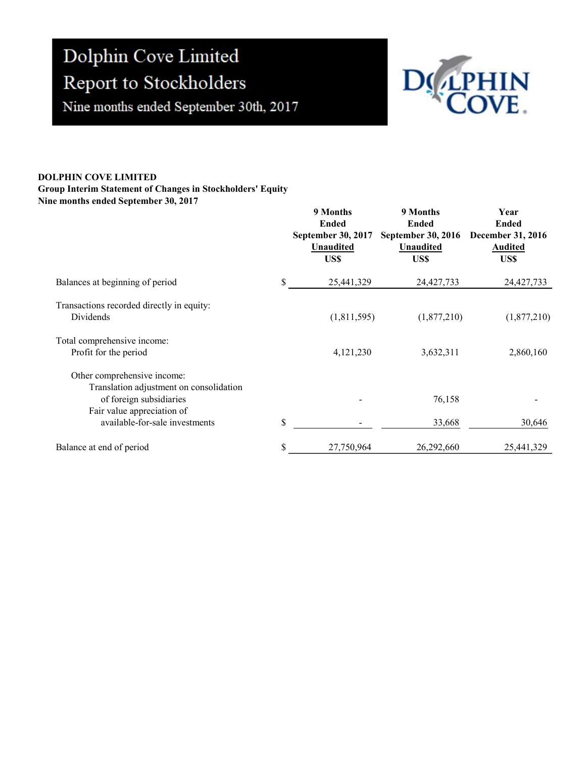Nine months ended September 30th, 2017



#### DOLPHIN COVE LIMITED

# Group Interim Statement of Changes in Stockholders' Equity

Nine months ended September 30, 2017

|                                                                                                                                 | 9 Months<br><b>Ended</b><br>September 30, 2017<br><b>Unaudited</b><br>US\$ | 9 Months<br><b>Ended</b><br><b>September 30, 2016</b><br>Unaudited<br>US\$ | Year<br><b>Ended</b><br><b>December 31, 2016</b><br><b>Audited</b><br>US\$ |
|---------------------------------------------------------------------------------------------------------------------------------|----------------------------------------------------------------------------|----------------------------------------------------------------------------|----------------------------------------------------------------------------|
| Balances at beginning of period                                                                                                 | \$<br>25,441,329                                                           | 24,427,733                                                                 | 24,427,733                                                                 |
| Transactions recorded directly in equity:<br>Dividends                                                                          | (1,811,595)                                                                | (1,877,210)                                                                | (1,877,210)                                                                |
| Total comprehensive income:<br>Profit for the period                                                                            | 4,121,230                                                                  | 3,632,311                                                                  | 2,860,160                                                                  |
| Other comprehensive income:<br>Translation adjustment on consolidation<br>of foreign subsidiaries<br>Fair value appreciation of |                                                                            | 76,158                                                                     |                                                                            |
| available-for-sale investments                                                                                                  | \$                                                                         | 33,668                                                                     | 30,646                                                                     |
| Balance at end of period                                                                                                        | \$<br>27,750,964                                                           | 26,292,660                                                                 | 25,441,329                                                                 |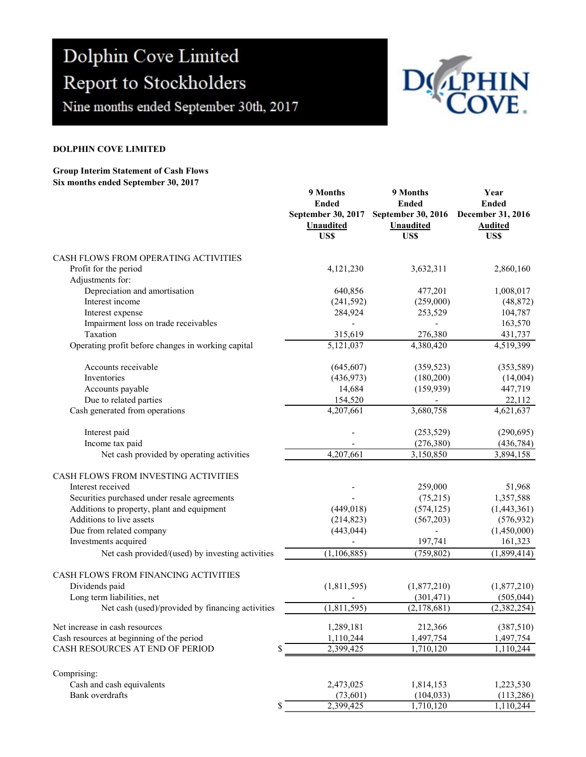Nine months ended September 30th, 2017



#### DOLPHIN COVE LIMITED

#### Group Interim Statement of Cash Flows Six months ended September 30, 2017

|                                                    | 9 Months<br><b>Ended</b><br>September 30, 2017<br><b>Unaudited</b><br>US\$ | 9 Months<br><b>Ended</b><br>September 30, 2016<br><b>Unaudited</b><br>US\$ | Year<br><b>Ended</b><br>December 31, 2016<br><b>Audited</b><br>US\$ |
|----------------------------------------------------|----------------------------------------------------------------------------|----------------------------------------------------------------------------|---------------------------------------------------------------------|
| CASH FLOWS FROM OPERATING ACTIVITIES               |                                                                            |                                                                            |                                                                     |
| Profit for the period                              | 4,121,230                                                                  | 3,632,311                                                                  | 2,860,160                                                           |
| Adjustments for:                                   |                                                                            |                                                                            |                                                                     |
| Depreciation and amortisation                      | 640,856                                                                    | 477,201                                                                    | 1,008,017                                                           |
| Interest income                                    | (241, 592)                                                                 | (259,000)                                                                  | (48, 872)                                                           |
| Interest expense                                   | 284,924                                                                    | 253,529                                                                    | 104,787                                                             |
| Impairment loss on trade receivables               |                                                                            |                                                                            | 163,570                                                             |
| Taxation                                           | 315,619                                                                    | 276,380                                                                    | 431,737                                                             |
| Operating profit before changes in working capital | 5,121,037                                                                  | 4,380,420                                                                  | 4,519,399                                                           |
| Accounts receivable                                | (645, 607)                                                                 | (359, 523)                                                                 | (353,589)                                                           |
| Inventories                                        | (436,973)                                                                  | (180, 200)                                                                 | (14,004)                                                            |
| Accounts payable                                   | 14,684                                                                     | (159, 939)                                                                 | 447,719                                                             |
| Due to related parties                             | 154,520                                                                    |                                                                            | 22,112                                                              |
| Cash generated from operations                     | 4,207,661                                                                  | 3,680,758                                                                  | 4,621,637                                                           |
| Interest paid                                      |                                                                            | (253, 529)                                                                 | (290,695)                                                           |
| Income tax paid                                    |                                                                            | (276, 380)                                                                 | (436, 784)                                                          |
| Net cash provided by operating activities          | 4,207,661                                                                  | 3,150,850                                                                  | 3,894,158                                                           |
| CASH FLOWS FROM INVESTING ACTIVITIES               |                                                                            |                                                                            |                                                                     |
| Interest received                                  |                                                                            | 259,000                                                                    | 51,968                                                              |
| Securities purchased under resale agreements       |                                                                            | (75,215)                                                                   | 1,357,588                                                           |
| Additions to property, plant and equipment         | (449, 018)                                                                 | (574, 125)                                                                 | (1,443,361)                                                         |
| Additions to live assets                           | (214, 823)                                                                 | (567,203)                                                                  | (576, 932)                                                          |
| Due from related company                           | (443, 044)                                                                 |                                                                            | (1,450,000)                                                         |
| Investments acquired                               |                                                                            | 197,741                                                                    | 161,323                                                             |
| Net cash provided/(used) by investing activities   | (1,106,885)                                                                | (759, 802)                                                                 | (1,899,414)                                                         |
| CASH FLOWS FROM FINANCING ACTIVITIES               |                                                                            |                                                                            |                                                                     |
| Dividends paid                                     | (1,811,595)                                                                | (1,877,210)                                                                | (1,877,210)                                                         |
| Long term liabilities, net                         |                                                                            | (301, 471)                                                                 | (505, 044)                                                          |
| Net cash (used)/provided by financing activities   | (1,811,595)                                                                | (2,178,681)                                                                | (2,382,254)                                                         |
| Net increase in cash resources                     | 1,289,181                                                                  | 212,366                                                                    | (387,510)                                                           |
| Cash resources at beginning of the period          | 1,110,244                                                                  | 1,497,754                                                                  | 1,497,754                                                           |
| CASH RESOURCES AT END OF PERIOD<br>\$              | 2,399,425                                                                  | 1,710,120                                                                  | 1,110,244                                                           |
| Comprising:                                        |                                                                            |                                                                            |                                                                     |
| Cash and cash equivalents                          | 2,473,025                                                                  | 1,814,153                                                                  | 1,223,530                                                           |
| <b>Bank</b> overdrafts                             | (73,601)                                                                   | (104, 033)                                                                 | (113,286)                                                           |
| \$                                                 | 2,399,425                                                                  | 1,710,120                                                                  | 1,110,244                                                           |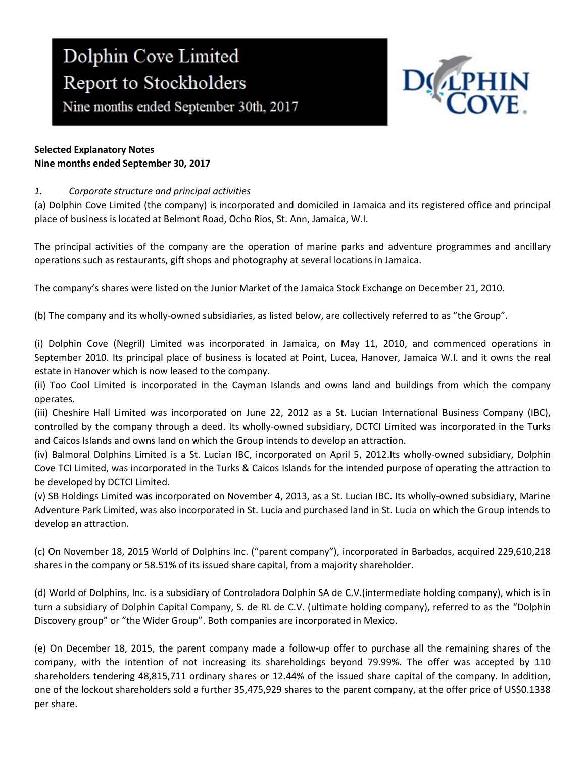Nine months ended September 30th, 2017



## Selected Explanatory Notes Nine months ended September 30, 2017

# 1. Corporate structure and principal activities

(a) Dolphin Cove Limited (the company) is incorporated and domiciled in Jamaica and its registered office and principal place of business is located at Belmont Road, Ocho Rios, St. Ann, Jamaica, W.I.

The principal activities of the company are the operation of marine parks and adventure programmes and ancillary operations such as restaurants, gift shops and photography at several locations in Jamaica.

The company's shares were listed on the Junior Market of the Jamaica Stock Exchange on December 21, 2010.

(b) The company and its wholly-owned subsidiaries, as listed below, are collectively referred to as "the Group".

(i) Dolphin Cove (Negril) Limited was incorporated in Jamaica, on May 11, 2010, and commenced operations in September 2010. Its principal place of business is located at Point, Lucea, Hanover, Jamaica W.I. and it owns the real estate in Hanover which is now leased to the company.

(ii) Too Cool Limited is incorporated in the Cayman Islands and owns land and buildings from which the company operates.

(iii) Cheshire Hall Limited was incorporated on June 22, 2012 as a St. Lucian International Business Company (IBC), controlled by the company through a deed. Its wholly-owned subsidiary, DCTCI Limited was incorporated in the Turks and Caicos Islands and owns land on which the Group intends to develop an attraction.

(iv) Balmoral Dolphins Limited is a St. Lucian IBC, incorporated on April 5, 2012.Its wholly-owned subsidiary, Dolphin Cove TCI Limited, was incorporated in the Turks & Caicos Islands for the intended purpose of operating the attraction to be developed by DCTCI Limited.

(v) SB Holdings Limited was incorporated on November 4, 2013, as a St. Lucian IBC. Its wholly-owned subsidiary, Marine Adventure Park Limited, was also incorporated in St. Lucia and purchased land in St. Lucia on which the Group intends to develop an attraction.

(c) On November 18, 2015 World of Dolphins Inc. ("parent company"), incorporated in Barbados, acquired 229,610,218 shares in the company or 58.51% of its issued share capital, from a majority shareholder.

(d) World of Dolphins, Inc. is a subsidiary of Controladora Dolphin SA de C.V.(intermediate holding company), which is in turn a subsidiary of Dolphin Capital Company, S. de RL de C.V. (ultimate holding company), referred to as the "Dolphin Discovery group" or "the Wider Group". Both companies are incorporated in Mexico.

(e) On December 18, 2015, the parent company made a follow-up offer to purchase all the remaining shares of the company, with the intention of not increasing its shareholdings beyond 79.99%. The offer was accepted by 110 shareholders tendering 48,815,711 ordinary shares or 12.44% of the issued share capital of the company. In addition, one of the lockout shareholders sold a further 35,475,929 shares to the parent company, at the offer price of US\$0.1338 per share.